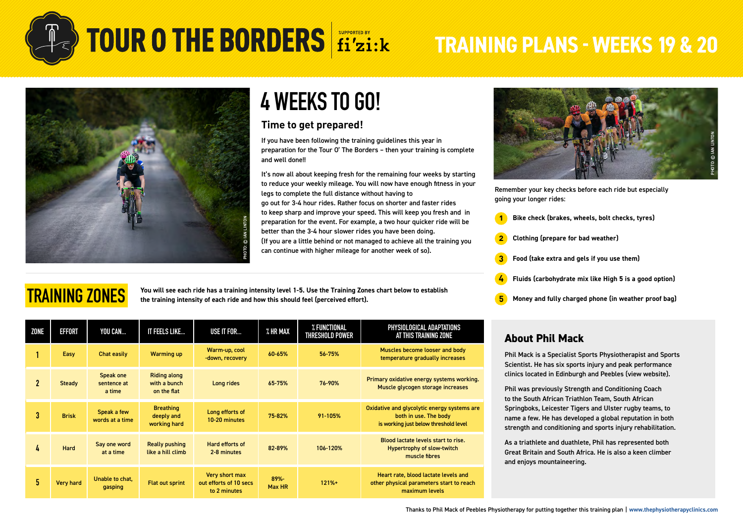

**TRAINING ZONES**

## **TOUR O THE BORDERS** fi'zi:k TRAINING PLANS - WEEKS 19 & 20



## **4 WEEKS TO GO!**

### **Time to get prepared!**

If you have been following the training guidelines this year in preparation for the Tour O' The Borders – then your training is complete and well done!!

It's now all about keeping fresh for the remaining four weeks by starting to reduce your weekly mileage. You will now have enough fitness in your legs to complete the full distance without having to go out for 3-4 hour rides. Rather focus on shorter and faster rides to keep sharp and improve your speed. This will keep you fresh and in preparation for the event. For example, a two hour quicker ride will be better than the 3-4 hour slower rides you have been doing. (If you are a little behind or not managed to achieve all the training you can continue with higher mileage for another week of so).

**You will see each ride has a training intensity level 1-5. Use the Training Zones chart below to establish the training intensity of each ride and how this should feel (perceived effort).**

| <b>ZONE</b>  | <b>EFFORT</b>    | YOU CAN                            | IT FEELS LIKE                                      | USE IT FOR                                               | % HR MAX          | % FUNCTIONAL<br><b>THRESHOLD POWER</b> | PHYSIOLOGICAL ADAPTATIONS<br>AT THIS TRAINING ZONE                                                            |  |
|--------------|------------------|------------------------------------|----------------------------------------------------|----------------------------------------------------------|-------------------|----------------------------------------|---------------------------------------------------------------------------------------------------------------|--|
|              | Easy             | Chat easily                        | <b>Warming up</b>                                  | Warm-up, cool<br>-down, recovery                         | 60-65%            | 56-75%                                 | Muscles become looser and body<br>temperature gradually increases                                             |  |
| $\mathbf{2}$ | Steady           | Speak one<br>sentence at<br>a time | <b>Riding along</b><br>with a bunch<br>on the flat | Long rides                                               | 65-75%            | 76-90%                                 | Primary oxidative energy systems working.<br>Muscle glycogen storage increases                                |  |
| 3            | <b>Brisk</b>     | Speak a few<br>words at a time     | <b>Breathing</b><br>deeply and<br>working hard     | Long efforts of<br>10-20 minutes                         | 75-82%            | 91-105%                                | Oxidative and glycolytic energy systems are<br>both in use. The body<br>is working just below threshold level |  |
| 4            | Hard             | Say one word<br>at a time          | <b>Really pushing</b><br>like a hill climb         | Hard efforts of<br>2-8 minutes                           | 82-89%            | 106-120%                               | Blood lactate levels start to rise.<br><b>Hypertrophy of slow-twitch</b><br>muscle fibres                     |  |
| 5            | <b>Very hard</b> | Unable to chat,<br>gasping         | <b>Flat out sprint</b>                             | Very short max<br>out efforts of 10 secs<br>to 2 minutes | $89% -$<br>Max HR | $121% +$                               | Heart rate, blood lactate levels and<br>other physical parameters start to reach<br>maximum levels            |  |



Remember your key checks before each ride but especially going your longer rides:

- **1 Bike check (brakes, wheels, bolt checks, tyres)**
- **2 Clothing (prepare for bad weather)**
- **3 Food (take extra and gels if you use them)**
- **4 Fluids (carbohydrate mix like High 5 is a good option)**
- **5 Money and fully charged phone (in weather proof bag)**

### **About Phil Mack**

Phil Mack is a Specialist Sports Physiotherapist and Sports Scientist. He has six sports injury and peak performance clinics located in Edinburgh and Peebles [\(view website\)](https://thephysiotherapyclinics.com/).

Phil was previously Strength and Conditioning Coach to the South African Triathlon Team, South African Springboks, Leicester Tigers and Ulster rugby teams, to name a few. He has developed a global reputation in both strength and conditioning and sports injury rehabilitation.

As a triathlete and duathlete, Phil has represented both Great Britain and South Africa. He is also a keen climber and enjoys mountaineering.